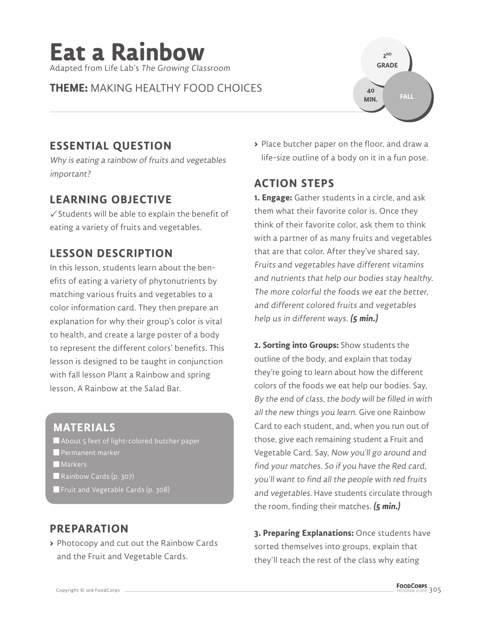

**THEME:** MAKING HEALTHY FOOD CHOICES



## **ESSENTIAL QUESTION**

Why is eating a rainbow of fruits and vegetables important?

## **LEARNING OBJECTIVE**

 $\checkmark$  Students will be able to explain the benefit of eating a variety of fruits and vegetables.

## **LESSON DESCRIPTION**

In this lesson, students learn about the benefits of eating a variety of phytonutrients by matching various fruits and vegetables to a color information card. They then prepare an explanation for why their group's color is vital to health, and create a large poster of a body to represent the different colors' benefits. This lesson is designed to be taught in conjunction with fall lesson Plant a Rainbow and spring lesson, A Rainbow at the Salad Bar.

## **MATERIALS**

About 5 feet of light-colored butcher paper **Permanent marker Markers** Rainbow Cards (p. 307)

Fruit and Vegetable Cards (p. 308)

# **PREPARATION**

**>** Photocopy and cut out the Rainbow Cards and the Fruit and Vegetable Cards.

**>** Place butcher paper on the floor, and draw a life-size outline of a body on it in a fun pose.

# **ACTION STEPS**

**1. Engage:** Gather students in a circle, and ask them what their favorite color is. Once they think of their favorite color, ask them to think with a partner of as many fruits and vegetables that are that color. After they've shared say, Fruits and vegetables have different vitamins and nutrients that help our bodies stay healthy. The more colorful the foods we eat the better, and different colored fruits and vegetables help us in different ways. **(5 min.)**

**2. Sorting into Groups:** Show students the outline of the body, and explain that today they're going to learn about how the different colors of the foods we eat help our bodies. Say, By the end of class, the body will be filled in with all the new things you learn. Give one Rainbow Card to each student, and, when you run out of those, give each remaining student a Fruit and Vegetable Card. Say, Now you'll go around and find your matches. So if you have the Red card, you'll want to find all the people with red fruits and vegetables. Have students circulate through the room, finding their matches. **(5 min.)**

**3. Preparing Explanations:** Once students have sorted themselves into groups, explain that they'll teach the rest of the class why eating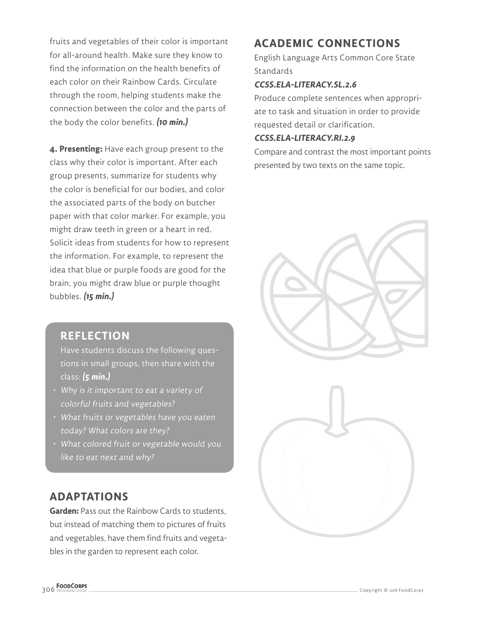fruits and vegetables of their color is important for all-around health. Make sure they know to find the information on the health benefits of each color on their Rainbow Cards. Circulate through the room, helping students make the connection between the color and the parts of the body the color benefits. **(10 min.)**

**4. Presenting:** Have each group present to the class why their color is important. After each group presents, summarize for students why the color is beneficial for our bodies, and color the associated parts of the body on butcher paper with that color marker. For example, you might draw teeth in green or a heart in red. Solicit ideas from students for how to represent the information. For example, to represent the idea that blue or purple foods are good for the brain, you might draw blue or purple thought bubbles. **(15 min.)**

#### **REFLECTION**

Have students discuss the following questions in small groups, then share with the class: **(5 min.)**

- Why is it important to eat a variety of colorful fruits and vegetables?
- What fruits or vegetables have you eaten today? What colors are they?
- What colored fruit or vegetable would you like to eat next and why?

## **ADAPTATIONS**

**Garden:** Pass out the Rainbow Cards to students, but instead of matching them to pictures of fruits and vegetables, have them find fruits and vegetables in the garden to represent each color.

# **ACADEMIC CONNECTIONS**

English Language Arts Common Core State Standards

#### **CCSS.ELA-LITERACY.SL.2.6**

Produce complete sentences when appropriate to task and situation in order to provide requested detail or clarification.

#### **CCSS.ELA-LITERACY.RI.2.9**

Compare and contrast the most important points presented by two texts on the same topic.

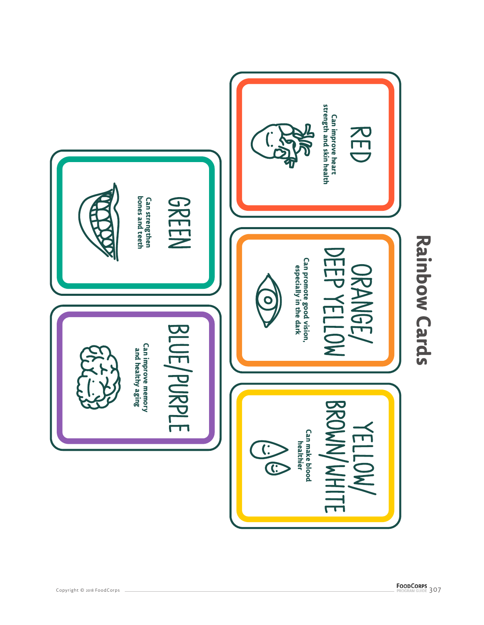